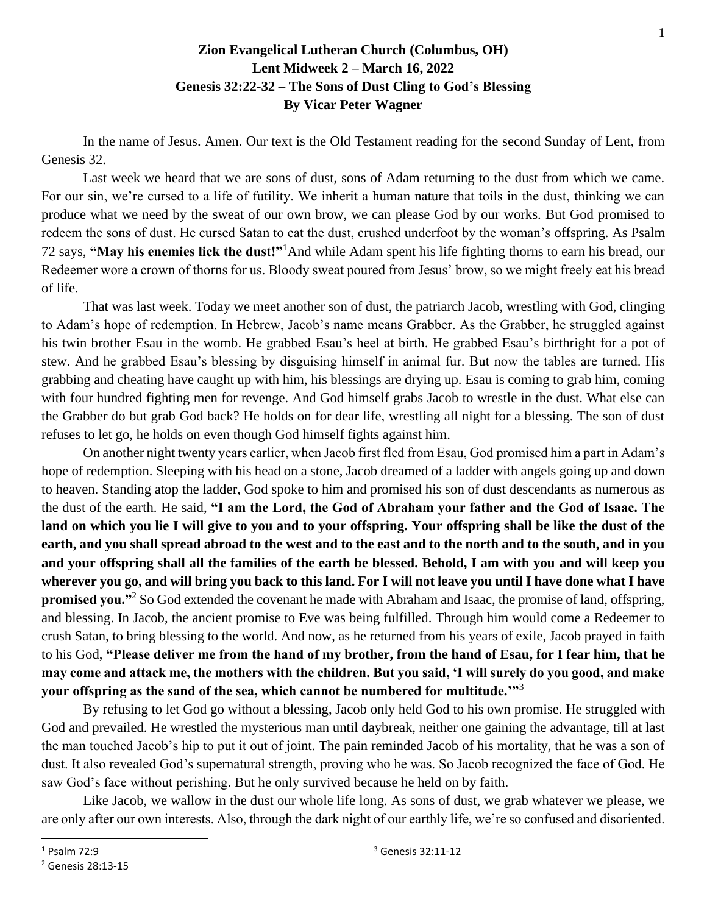## **Zion Evangelical Lutheran Church (Columbus, OH) Lent Midweek 2 – March 16, 2022 Genesis 32:22-32 – The Sons of Dust Cling to God's Blessing By Vicar Peter Wagner**

In the name of Jesus. Amen. Our text is the Old Testament reading for the second Sunday of Lent, from Genesis 32.

Last week we heard that we are sons of dust, sons of Adam returning to the dust from which we came. For our sin, we're cursed to a life of futility. We inherit a human nature that toils in the dust, thinking we can produce what we need by the sweat of our own brow, we can please God by our works. But God promised to redeem the sons of dust. He cursed Satan to eat the dust, crushed underfoot by the woman's offspring. As Psalm 72 says, **"May his enemies lick the dust!"**<sup>1</sup>And while Adam spent his life fighting thorns to earn his bread, our Redeemer wore a crown of thorns for us. Bloody sweat poured from Jesus' brow, so we might freely eat his bread of life.

That was last week. Today we meet another son of dust, the patriarch Jacob, wrestling with God, clinging to Adam's hope of redemption. In Hebrew, Jacob's name means Grabber. As the Grabber, he struggled against his twin brother Esau in the womb. He grabbed Esau's heel at birth. He grabbed Esau's birthright for a pot of stew. And he grabbed Esau's blessing by disguising himself in animal fur. But now the tables are turned. His grabbing and cheating have caught up with him, his blessings are drying up. Esau is coming to grab him, coming with four hundred fighting men for revenge. And God himself grabs Jacob to wrestle in the dust. What else can the Grabber do but grab God back? He holds on for dear life, wrestling all night for a blessing. The son of dust refuses to let go, he holds on even though God himself fights against him.

On another night twenty years earlier, when Jacob first fled from Esau, God promised him a part in Adam's hope of redemption. Sleeping with his head on a stone, Jacob dreamed of a ladder with angels going up and down to heaven. Standing atop the ladder, God spoke to him and promised his son of dust descendants as numerous as the dust of the earth. He said, **"I am the Lord, the God of Abraham your father and the God of Isaac. The land on which you lie I will give to you and to your offspring. Your offspring shall be like the dust of the earth, and you shall spread abroad to the west and to the east and to the north and to the south, and in you and your offspring shall all the families of the earth be blessed. Behold, I am with you and will keep you wherever you go, and will bring you back to this land. For I will not leave you until I have done what I have promised you."**<sup>2</sup> So God extended the covenant he made with Abraham and Isaac, the promise of land, offspring, and blessing. In Jacob, the ancient promise to Eve was being fulfilled. Through him would come a Redeemer to crush Satan, to bring blessing to the world. And now, as he returned from his years of exile, Jacob prayed in faith to his God, **"Please deliver me from the hand of my brother, from the hand of Esau, for I fear him, that he may come and attack me, the mothers with the children. But you said, 'I will surely do you good, and make your offspring as the sand of the sea, which cannot be numbered for multitude.'"**<sup>3</sup>

By refusing to let God go without a blessing, Jacob only held God to his own promise. He struggled with God and prevailed. He wrestled the mysterious man until daybreak, neither one gaining the advantage, till at last the man touched Jacob's hip to put it out of joint. The pain reminded Jacob of his mortality, that he was a son of dust. It also revealed God's supernatural strength, proving who he was. So Jacob recognized the face of God. He saw God's face without perishing. But he only survived because he held on by faith.

Like Jacob, we wallow in the dust our whole life long. As sons of dust, we grab whatever we please, we are only after our own interests. Also, through the dark night of our earthly life, we're so confused and disoriented.

 $1$  Psalm 72 $\cdot$ 9

<sup>2</sup> Genesis 28:13-15